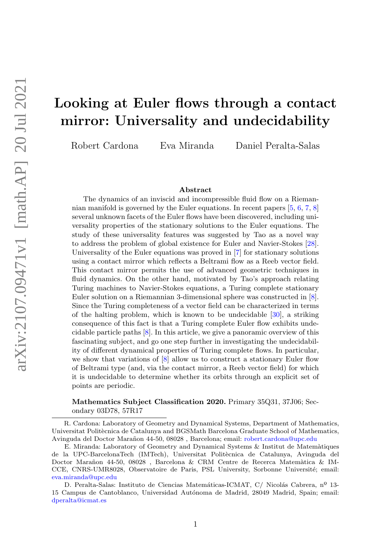# Looking at Euler flows through a contact mirror: Universality and undecidability

Robert Cardona Eva Miranda Daniel Peralta-Salas

#### Abstract

The dynamics of an inviscid and incompressible fluid flow on a Riemannian manifold is governed by the Euler equations. In recent papers [\[5,](#page-22-0) [6,](#page-22-1) [7,](#page-22-2) [8\]](#page-22-3) several unknown facets of the Euler flows have been discovered, including universality properties of the stationary solutions to the Euler equations. The study of these universality features was suggested by Tao as a novel way to address the problem of global existence for Euler and Navier-Stokes [\[28\]](#page-23-0). Universality of the Euler equations was proved in [\[7\]](#page-22-2) for stationary solutions using a contact mirror which reflects a Beltrami flow as a Reeb vector field. This contact mirror permits the use of advanced geometric techniques in fluid dynamics. On the other hand, motivated by Tao's approach relating Turing machines to Navier-Stokes equations, a Turing complete stationary Euler solution on a Riemannian 3-dimensional sphere was constructed in [\[8\]](#page-22-3). Since the Turing completeness of a vector field can be characterized in terms of the halting problem, which is known to be undecidable [\[30\]](#page-23-1), a striking consequence of this fact is that a Turing complete Euler flow exhibits undecidable particle paths [\[8\]](#page-22-3). In this article, we give a panoramic overview of this fascinating subject, and go one step further in investigating the undecidability of different dynamical properties of Turing complete flows. In particular, we show that variations of  $[8]$  allow us to construct a stationary Euler flow of Beltrami type (and, via the contact mirror, a Reeb vector field) for which it is undecidable to determine whether its orbits through an explicit set of points are periodic.

Mathematics Subject Classification 2020. Primary 35Q31, 37J06; Secondary 03D78, 57R17

R. Cardona: Laboratory of Geometry and Dynamical Systems, Department of Mathematics, Universitat Politècnica de Catalunya and BGSMath Barcelona Graduate School of Mathematics, Avinguda del Doctor Marañon 44-50, 08028, Barcelona; email: [robert.cardona@upc.edu](mailto:robert.cardona@upc.edu)

E. Miranda: Laboratory of Geometry and Dynamical Systems & Institut de Matem`atiques de la UPC-BarcelonaTech (IMTech), Universitat Polit`ecnica de Catalunya, Avinguda del Doctor Marañon 44-50, 08028, Barcelona & CRM Centre de Recerca Matemàtica & IM-CCE, CNRS-UMR8028, Observatoire de Paris, PSL University, Sorbonne Université; email: [eva.miranda@upc.edu](mailto:eva.miranda@upc.edu)

D. Peralta-Salas: Instituto de Ciencias Matemáticas-ICMAT, C/ Nicolás Cabrera, nº 13-15 Campus de Cantoblanco, Universidad Autónoma de Madrid, 28049 Madrid, Spain; email: [dperalta@icmat.es](mailto:dperalta@icmat.es)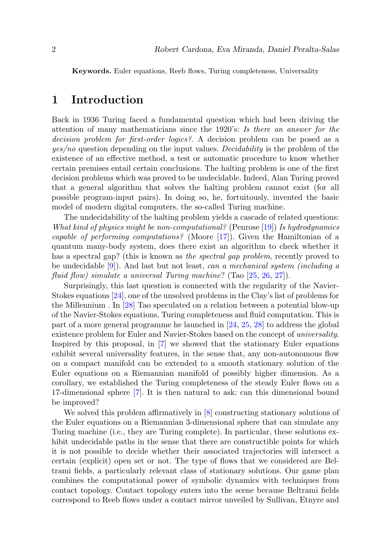Keywords. Euler equations, Reeb flows, Turing completeness, Universality

### 1 Introduction

Back in 1936 Turing faced a fundamental question which had been driving the attention of many mathematicians since the 1920's: Is there an answer for the decision problem for first-order logics?. A decision problem can be posed as a yes/no question depending on the input values. Decidability is the problem of the existence of an effective method, a test or automatic procedure to know whether certain premises entail certain conclusions. The halting problem is one of the first decision problems which was proved to be undecidable. Indeed, Alan Turing proved that a general algorithm that solves the halting problem cannot exist (for all possible program-input pairs). In doing so, he, fortuitously, invented the basic model of modern digital computers, the so-called Turing machine.

The undecidability of the halting problem yields a cascade of related questions: What kind of physics might be non-computational? (Penrose [\[19\]](#page-22-4)) Is hydrodynamics capable of performing computations? (Moore [\[17\]](#page-22-5)). Given the Hamiltonian of a quantum many-body system, does there exist an algorithm to check whether it has a spectral gap? (this is known as the spectral gap problem, recently proved to be undecidable [\[9\]](#page-22-6)). And last but not least, can a mechanical system (including a fluid flow) simulate a universal Turing machine? (Tao [\[25,](#page-23-2) [26,](#page-23-3) [27\]](#page-23-4)).

Surprisingly, this last question is connected with the regularity of the Navier-Stokes equations [\[24\]](#page-23-5), one of the unsolved problems in the Clay's list of problems for the Millennium . In [\[28\]](#page-23-0) Tao speculated on a relation between a potential blow-up of the Navier-Stokes equations, Turing completeness and fluid computation. This is part of a more general programme he launched in [\[24,](#page-23-5) [25,](#page-23-2) [28\]](#page-23-0) to address the global existence problem for Euler and Navier-Stokes based on the concept of universality. Inspired by this proposal, in [\[7\]](#page-22-2) we showed that the stationary Euler equations exhibit several universality features, in the sense that, any non-autonomous flow on a compact manifold can be extended to a smooth stationary solution of the Euler equations on a Riemannian manifold of possibly higher dimension. As a corollary, we established the Turing completeness of the steady Euler flows on a 17-dimensional sphere [\[7\]](#page-22-2). It is then natural to ask: can this dimensional bound be improved?

We solved this problem affirmatively in [\[8\]](#page-22-3) constructing stationary solutions of the Euler equations on a Riemannian 3-dimensional sphere that can simulate any Turing machine (i.e., they are Turing complete). In particular, these solutions exhibit undecidable paths in the sense that there are constructible points for which it is not possible to decide whether their associated trajectories will intersect a certain (explicit) open set or not. The type of flows that we considered are Beltrami fields, a particularly relevant class of stationary solutions. Our game plan combines the computational power of symbolic dynamics with techniques from contact topology. Contact topology enters into the scene because Beltrami fields correspond to Reeb flows under a contact mirror unveiled by Sullivan, Etnyre and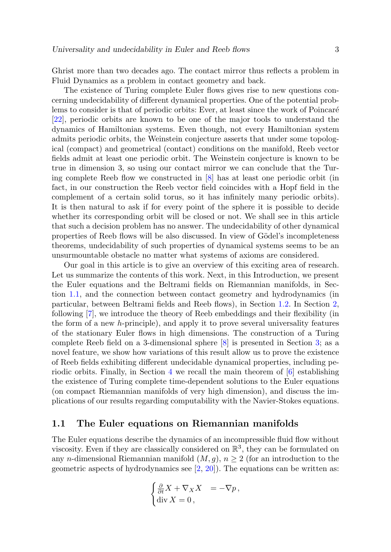Ghrist more than two decades ago. The contact mirror thus reflects a problem in Fluid Dynamics as a problem in contact geometry and back.

The existence of Turing complete Euler flows gives rise to new questions concerning undecidability of different dynamical properties. One of the potential problems to consider is that of periodic orbits: Ever, at least since the work of Poincaré [\[22\]](#page-22-7), periodic orbits are known to be one of the major tools to understand the dynamics of Hamiltonian systems. Even though, not every Hamiltonian system admits periodic orbits, the Weinstein conjecture asserts that under some topological (compact) and geometrical (contact) conditions on the manifold, Reeb vector fields admit at least one periodic orbit. The Weinstein conjecture is known to be true in dimension 3, so using our contact mirror we can conclude that the Turing complete Reeb flow we constructed in [\[8\]](#page-22-3) has at least one periodic orbit (in fact, in our construction the Reeb vector field coincides with a Hopf field in the complement of a certain solid torus, so it has infinitely many periodic orbits). It is then natural to ask if for every point of the sphere it is possible to decide whether its corresponding orbit will be closed or not. We shall see in this article that such a decision problem has no answer. The undecidability of other dynamical properties of Reeb flows will be also discussed. In view of Gödel's incompleteness theorems, undecidability of such properties of dynamical systems seems to be an unsurmountable obstacle no matter what systems of axioms are considered.

Our goal in this article is to give an overview of this exciting area of research. Let us summarize the contents of this work. Next, in this Introduction, we present the Euler equations and the Beltrami fields on Riemannian manifolds, in Section [1.1,](#page-2-0) and the connection between contact geometry and hydrodynamics (in particular, between Beltrami fields and Reeb flows), in Section [1.2.](#page-3-0) In Section [2,](#page-4-0) following [\[7\]](#page-22-2), we introduce the theory of Reeb embeddings and their flexibility (in the form of a new h-principle), and apply it to prove several universality features of the stationary Euler flows in high dimensions. The construction of a Turing complete Reeb field on a 3-dimensional sphere [\[8\]](#page-22-3) is presented in Section [3;](#page-11-0) as a novel feature, we show how variations of this result allow us to prove the existence of Reeb fields exhibiting different undecidable dynamical properties, including pe-riodic orbits. Finally, in Section [4](#page-19-0) we recall the main theorem of  $[6]$  establishing the existence of Turing complete time-dependent solutions to the Euler equations (on compact Riemannian manifolds of very high dimension), and discuss the implications of our results regarding computability with the Navier-Stokes equations.

#### <span id="page-2-0"></span>1.1 The Euler equations on Riemannian manifolds

The Euler equations describe the dynamics of an incompressible fluid flow without viscosity. Even if they are classically considered on  $\mathbb{R}^3$ , they can be formulated on any n-dimensional Riemannian manifold  $(M, g)$ ,  $n \geq 2$  (for an introduction to the geometric aspects of hydrodynamics see  $[2, 20]$  $[2, 20]$  $[2, 20]$ . The equations can be written as:

$$
\begin{cases} \frac{\partial}{\partial t} X + \nabla_X X &= -\nabla p \,, \\ \text{div } X &= 0 \,, \end{cases}
$$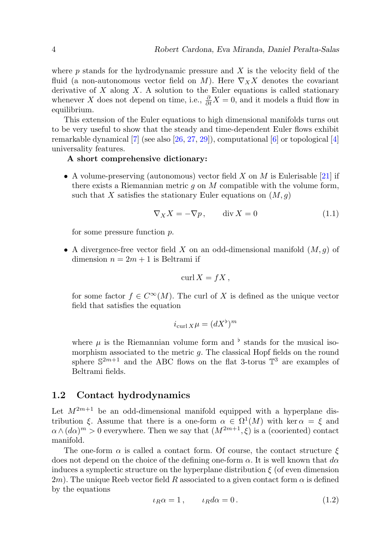where p stands for the hydrodynamic pressure and  $X$  is the velocity field of the fluid (a non-autonomous vector field on M). Here  $\nabla_X X$  denotes the covariant derivative of  $X$  along  $X$ . A solution to the Euler equations is called stationary whenever X does not depend on time, i.e.,  $\frac{\partial}{\partial t}X = 0$ , and it models a fluid flow in equilibrium.

This extension of the Euler equations to high dimensional manifolds turns out to be very useful to show that the steady and time-dependent Euler flows exhibit remarkable dynamical  $[7]$  (see also  $[26, 27, 29]$  $[26, 27, 29]$  $[26, 27, 29]$  $[26, 27, 29]$  $[26, 27, 29]$ ), computational  $[6]$  or topological  $[4]$ universality features.

#### A short comprehensive dictionary:

• A volume-preserving (autonomous) vector field X on M is Eulerisable [\[21\]](#page-22-10) if there exists a Riemannian metric q on  $M$  compatible with the volume form, such that X satisfies the stationary Euler equations on  $(M, q)$ 

$$
\nabla_X X = -\nabla p, \qquad \text{div } X = 0 \tag{1.1}
$$

for some pressure function p.

• A divergence-free vector field X on an odd-dimensional manifold  $(M, g)$  of dimension  $n = 2m + 1$  is Beltrami if

$$
\operatorname{curl} X = fX,
$$

for some factor  $f \in C^{\infty}(M)$ . The curl of X is defined as the unique vector field that satisfies the equation

$$
i_{\operatorname{curl} X} \mu = (dX^{\flat})^m
$$

where  $\mu$  is the Riemannian volume form and  $\flat$  stands for the musical isomorphism associated to the metric  $q$ . The classical Hopf fields on the round sphere  $\mathbb{S}^{2m+1}$  and the ABC flows on the flat 3-torus  $\mathbb{T}^3$  are examples of Beltrami fields.

#### <span id="page-3-0"></span>1.2 Contact hydrodynamics

Let  $M^{2m+1}$  be an odd-dimensional manifold equipped with a hyperplane distribution  $\xi$ . Assume that there is a one-form  $\alpha \in \Omega^1(M)$  with ker  $\alpha = \xi$  and  $\alpha \wedge (d\alpha)^m > 0$  everywhere. Then we say that  $(M^{2m+1}, \xi)$  is a (cooriented) contact manifold.

The one-form  $\alpha$  is called a contact form. Of course, the contact structure  $\xi$ does not depend on the choice of the defining one-form  $\alpha$ . It is well known that  $d\alpha$ induces a symplectic structure on the hyperplane distribution  $\xi$  (of even dimension 2m). The unique Reeb vector field R associated to a given contact form  $\alpha$  is defined by the equations

$$
\iota_R \alpha = 1, \qquad \iota_R d \alpha = 0. \tag{1.2}
$$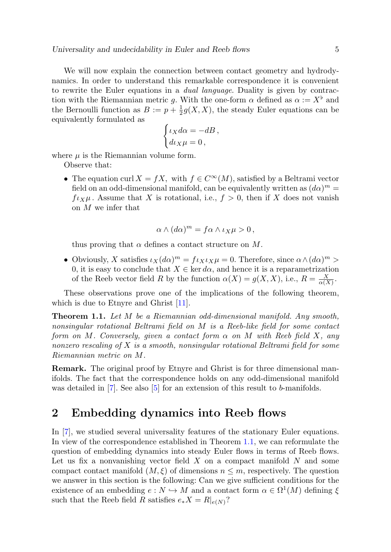We will now explain the connection between contact geometry and hydrodynamics. In order to understand this remarkable correspondence it is convenient to rewrite the Euler equations in a *dual language*. Duality is given by contraction with the Riemannian metric g. With the one-form  $\alpha$  defined as  $\alpha := X^{\flat}$  and the Bernoulli function as  $B := p + \frac{1}{2}g(X, X)$ , the steady Euler equations can be equivalently formulated as

$$
\begin{cases} \iota_X d\alpha = -dB, \\ d\iota_X \mu = 0, \end{cases}
$$

where  $\mu$  is the Riemannian volume form.

Observe that:

• The equation curl  $X = fX$ , with  $f \in C^{\infty}(M)$ , satisfied by a Beltrami vector field on an odd-dimensional manifold, can be equivalently written as  $(d\alpha)^m =$  $f\iota_X\mu$ . Assume that X is rotational, i.e.,  $f > 0$ , then if X does not vanish on M we infer that

$$
\alpha \wedge (d\alpha)^m = f\alpha \wedge \iota_X \mu > 0,
$$

thus proving that  $\alpha$  defines a contact structure on M.

• Obviously, X satisfies  $\iota_X(d\alpha)^m = f \iota_X \iota_X \mu = 0$ . Therefore, since  $\alpha \wedge (d\alpha)^m >$ 0, it is easy to conclude that  $X \in \text{ker } d\alpha$ , and hence it is a reparametrization of the Reeb vector field R by the function  $\alpha(X) = g(X, X)$ , i.e.,  $R = \frac{X}{\alpha(X)}$ .

These observations prove one of the implications of the following theorem, which is due to Etnyre and Ghrist [\[11\]](#page-22-11).

<span id="page-4-1"></span>Theorem 1.1. Let M be a Riemannian odd-dimensional manifold. Any smooth, nonsingular rotational Beltrami field on M is a Reeb-like field for some contact form on M. Conversely, given a contact form  $\alpha$  on M with Reeb field X, any nonzero rescaling of X is a smooth, nonsingular rotational Beltrami field for some Riemannian metric on M.

Remark. The original proof by Etnyre and Ghrist is for three dimensional manifolds. The fact that the correspondence holds on any odd-dimensional manifold was detailed in [\[7\]](#page-22-2). See also [\[5\]](#page-22-0) for an extension of this result to b-manifolds.

### <span id="page-4-0"></span>2 Embedding dynamics into Reeb flows

In [\[7\]](#page-22-2), we studied several universality features of the stationary Euler equations. In view of the correspondence established in Theorem [1.1,](#page-4-1) we can reformulate the question of embedding dynamics into steady Euler flows in terms of Reeb flows. Let us fix a nonvanishing vector field  $X$  on a compact manifold  $N$  and some compact contact manifold  $(M,\xi)$  of dimensions  $n \leq m$ , respectively. The question we answer in this section is the following: Can we give sufficient conditions for the existence of an embedding  $e : N \to M$  and a contact form  $\alpha \in \Omega^1(M)$  defining  $\xi$ such that the Reeb field R satisfies  $e_*X = R|_{e(N)}$ ?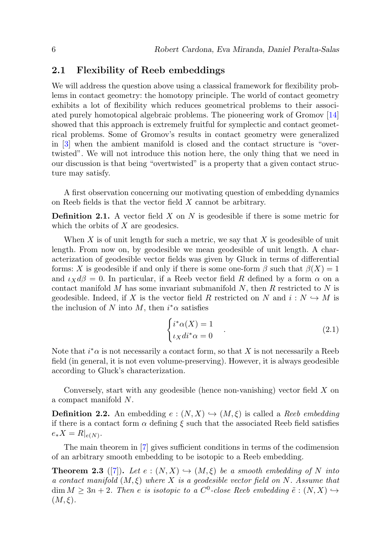#### 2.1 Flexibility of Reeb embeddings

We will address the question above using a classical framework for flexibility problems in contact geometry: the homotopy principle. The world of contact geometry exhibits a lot of flexibility which reduces geometrical problems to their associated purely homotopical algebraic problems. The pioneering work of Gromov [\[14\]](#page-22-12) showed that this approach is extremely fruitful for symplectic and contact geometrical problems. Some of Gromov's results in contact geometry were generalized in [\[3\]](#page-22-13) when the ambient manifold is closed and the contact structure is "overtwisted". We will not introduce this notion here, the only thing that we need in our discussion is that being "overtwisted" is a property that a given contact structure may satisfy.

A first observation concerning our motivating question of embedding dynamics on Reeb fields is that the vector field X cannot be arbitrary.

**Definition 2.1.** A vector field  $X$  on  $N$  is geodesible if there is some metric for which the orbits of  $X$  are geodesics.

When  $X$  is of unit length for such a metric, we say that  $X$  is geodesible of unit length. From now on, by geodesible we mean geodesible of unit length. A characterization of geodesible vector fields was given by Gluck in terms of differential forms: X is geodesible if and only if there is some one-form  $\beta$  such that  $\beta(X) = 1$ and  $\iota_X d\beta = 0$ . In particular, if a Reeb vector field R defined by a form  $\alpha$  on a contact manifold M has some invariant submanifold  $N$ , then  $R$  restricted to  $N$  is geodesible. Indeed, if X is the vector field R restricted on N and  $i : N \hookrightarrow M$  is the inclusion of N into M, then  $i^* \alpha$  satisfies

$$
\begin{cases} i^*\alpha(X) = 1\\ \iota_X di^*\alpha = 0 \end{cases} . \tag{2.1}
$$

Note that  $i^*\alpha$  is not necessarily a contact form, so that X is not necessarily a Reeb field (in general, it is not even volume-preserving). However, it is always geodesible according to Gluck's characterization.

Conversely, start with any geodesible (hence non-vanishing) vector field  $X$  on a compact manifold N.

<span id="page-5-0"></span>**Definition 2.2.** An embedding  $e : (N, X) \hookrightarrow (M, \xi)$  is called a Reeb embedding if there is a contact form  $\alpha$  defining  $\xi$  such that the associated Reeb field satisfies  $e_*X = R|_{e(N)}.$ 

The main theorem in [\[7\]](#page-22-2) gives sufficient conditions in terms of the codimension of an arbitrary smooth embedding to be isotopic to a Reeb embedding.

<span id="page-5-1"></span>**Theorem 2.3** ([\[7\]](#page-22-2)). Let  $e : (N, X) \hookrightarrow (M, \xi)$  be a smooth embedding of N into a contact manifold  $(M,\xi)$  where X is a geodesible vector field on N. Assume that  $\dim M \geq 3n+2$ . Then e is isotopic to a C<sup>0</sup>-close Reeb embedding  $\tilde{e}: (N,X) \hookrightarrow$  $(M,\xi)$ .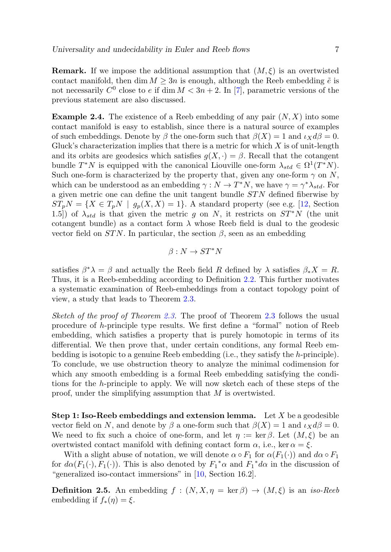**Remark.** If we impose the additional assumption that  $(M, \xi)$  is an overtwisted contact manifold, then dim  $M \geq 3n$  is enough, although the Reeb embedding  $\tilde{e}$  is not necessarily  $C^0$  close to e if dim  $M < 3n + 2$ . In [\[7\]](#page-22-2), parametric versions of the previous statement are also discussed.

**Example 2.4.** The existence of a Reeb embedding of any pair  $(N, X)$  into some contact manifold is easy to establish, since there is a natural source of examples of such embeddings. Denote by  $\beta$  the one-form such that  $\beta(X) = 1$  and  $\iota_X d\beta = 0$ . Gluck's characterization implies that there is a metric for which  $X$  is of unit-length and its orbits are geodesics which satisfies  $g(X, \cdot) = \beta$ . Recall that the cotangent bundle  $T^*N$  is equipped with the canonical Liouville one-form  $\lambda_{std} \in \Omega^1(T^*N)$ . Such one-form is characterized by the property that, given any one-form  $\gamma$  on N, which can be understood as an embedding  $\gamma : N \to T^*N$ , we have  $\gamma = \gamma^* \lambda_{std}$ . For a given metric one can define the unit tangent bundle  $STN$  defined fiberwise by  $ST_pN = \{X \in T_pN \mid g_p(X,X) = 1\}.$  A standard property (see e.g. [\[12,](#page-22-14) Section 1.5) of  $\lambda_{std}$  is that given the metric g on N, it restricts on  $ST^*N$  (the unit cotangent bundle) as a contact form  $\lambda$  whose Reeb field is dual to the geodesic vector field on  $STN$ . In particular, the section  $\beta$ , seen as an embedding

$$
\beta:N\to ST^*N
$$

satisfies  $\beta^* \lambda = \beta$  and actually the Reeb field R defined by  $\lambda$  satisfies  $\beta_* X = R$ . Thus, it is a Reeb-embedding according to Definition [2.2.](#page-5-0) This further motivates a systematic examination of Reeb-embeddings from a contact topology point of view, a study that leads to Theorem [2.3.](#page-5-1)

Sketch of the proof of Theorem [2.3.](#page-5-1) The proof of Theorem [2.3](#page-5-1) follows the usual procedure of h-principle type results. We first define a "formal" notion of Reeb embedding, which satisfies a property that is purely homotopic in terms of its differential. We then prove that, under certain conditions, any formal Reeb embedding is isotopic to a genuine Reeb embedding (i.e., they satisfy the h-principle). To conclude, we use obstruction theory to analyze the minimal codimension for which any smooth embedding is a formal Reeb embedding satisfying the conditions for the h-principle to apply. We will now sketch each of these steps of the proof, under the simplifying assumption that M is overtwisted.

**Step 1: Iso-Reeb embeddings and extension lemma.** Let  $X$  be a geodesible vector field on N, and denote by  $\beta$  a one-form such that  $\beta(X) = 1$  and  $\iota_X d\beta = 0$ . We need to fix such a choice of one-form, and let  $\eta := \ker \beta$ . Let  $(M, \xi)$  be an overtwisted contact manifold with defining contact form  $\alpha$ , i.e., ker  $\alpha = \xi$ .

With a slight abuse of notation, we will denote  $\alpha \circ F_1$  for  $\alpha(F_1(\cdot))$  and  $d\alpha \circ F_1$ for  $d\alpha(F_1(\cdot), F_1(\cdot))$ . This is also denoted by  $F_1^*\alpha$  and  $F_1^*d\alpha$  in the discussion of "generalized iso-contact immersions" in [\[10,](#page-22-15) Section 16.2].

**Definition 2.5.** An embedding  $f : (N, X, \eta = \ker \beta) \rightarrow (M, \xi)$  is an *iso-Reeb* embedding if  $f_*(\eta) = \xi$ .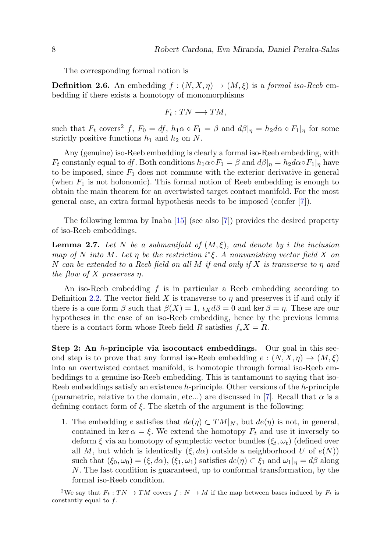The corresponding formal notion is

**Definition 2.6.** An embedding  $f : (N, X, \eta) \to (M, \xi)$  is a formal iso-Reeb embedding if there exists a homotopy of monomorphisms

$$
F_t:TN\longrightarrow TM,
$$

such that  $F_t$  covers<sup>2</sup> f,  $F_0 = df$ ,  $h_1 \alpha \circ F_1 = \beta$  and  $d\beta|_{\eta} = h_2 d\alpha \circ F_1|_{\eta}$  for some strictly positive functions  $h_1$  and  $h_2$  on N.

Any (genuine) iso-Reeb embedding is clearly a formal iso-Reeb embedding, with  $F_t$  constanly equal to df. Both conditions  $h_1 \alpha \circ F_1 = \beta$  and  $d\beta|_{\eta} = h_2 d\alpha \circ F_1|_{\eta}$  have to be imposed, since  $F_1$  does not commute with the exterior derivative in general (when  $F_1$  is not holonomic). This formal notion of Reeb embedding is enough to obtain the main theorem for an overtwisted target contact manifold. For the most general case, an extra formal hypothesis needs to be imposed (confer [\[7\]](#page-22-2)).

The following lemma by Inaba [\[15\]](#page-22-16) (see also [\[7\]](#page-22-2)) provides the desired property of iso-Reeb embeddings.

**Lemma 2.7.** Let N be a submanifold of  $(M, \xi)$ , and denote by i the inclusion map of N into M. Let  $\eta$  be the restriction  $i^*\xi$ . A nonvanishing vector field X on N can be extended to a Reeb field on all M if and only if X is transverse to  $\eta$  and the flow of X preserves  $\eta$ .

An iso-Reeb embedding  $f$  is in particular a Reeb embedding according to Definition [2.2.](#page-5-0) The vector field X is transverse to  $\eta$  and preserves it if and only if there is a one form  $\beta$  such that  $\beta(X) = 1$ ,  $\iota_X d\beta = 0$  and ker  $\beta = \eta$ . These are our hypotheses in the case of an iso-Reeb embedding, hence by the previous lemma there is a contact form whose Reeb field R satisfies  $f_*X = R$ .

Step 2: An h-principle via isocontact embeddings. Our goal in this second step is to prove that any formal iso-Reeb embedding  $e:(N, X, \eta) \to (M, \xi)$ into an overtwisted contact manifold, is homotopic through formal iso-Reeb embeddings to a genuine iso-Reeb embedding. This is tantamount to saying that iso-Reeb embeddings satisfy an existence  $h$ -principle. Other versions of the  $h$ -principle (parametric, relative to the domain, etc...) are discussed in [\[7\]](#page-22-2). Recall that  $\alpha$  is a defining contact form of  $\xi$ . The sketch of the argument is the following:

1. The embedding e satisfies that  $de(\eta) \subset TM|_N$ , but  $de(\eta)$  is not, in general, contained in ker  $\alpha = \xi$ . We extend the homotopy  $F_t$  and use it inversely to deform  $\xi$  via an homotopy of symplectic vector bundles  $(\xi_t, \omega_t)$  (defined over all M, but which is identically  $(\xi, d\alpha)$  outside a neighborhood U of  $e(N)$ ) such that  $(\xi_0, \omega_0) = (\xi, d\alpha)$ ,  $(\xi_1, \omega_1)$  satisfies  $de(\eta) \subset \xi_1$  and  $\omega_1|_{\eta} = d\beta$  along N. The last condition is guaranteed, up to conformal transformation, by the formal iso-Reeb condition.

<sup>&</sup>lt;sup>2</sup>We say that  $F_t: TN \to TM$  covers  $f: N \to M$  if the map between bases induced by  $F_t$  is constantly equal to  $f$ .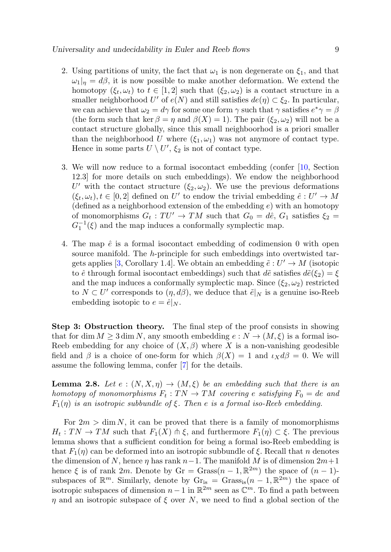- 2. Using partitions of unity, the fact that  $\omega_1$  is non degenerate on  $\xi_1$ , and that  $\omega_1|_n = d\beta$ , it is now possible to make another deformation. We extend the homotopy  $(\xi_t, \omega_t)$  to  $t \in [1, 2]$  such that  $(\xi_2, \omega_2)$  is a contact structure in a smaller neighborhood  $U'$  of  $e(N)$  and still satisfies  $de(\eta) \subset \xi_2$ . In particular, we can achieve that  $\omega_2 = d\gamma$  for some one form  $\gamma$  such that  $\gamma$  satisfies  $e^*\gamma = \beta$ (the form such that ker  $\beta = \eta$  and  $\beta(X) = 1$ ). The pair  $(\xi_2, \omega_2)$  will not be a contact structure globally, since this small neighboorhod is a priori smaller than the neighborhood U where  $(\xi_1, \omega_1)$  was not anymore of contact type. Hence in some parts  $U \setminus U'$ ,  $\xi_2$  is not of contact type.
- 3. We will now reduce to a formal isocontact embedding (confer [\[10,](#page-22-15) Section 12.3] for more details on such embeddings). We endow the neighborhood U' with the contact structure  $(\xi_2, \omega_2)$ . We use the previous deformations  $(\xi_t, \omega_t), t \in [0, 2]$  defined on U' to endow the trivial embedding  $\hat{e}: U' \to M$ (defined as a neighborhood extension of the embedding  $e$ ) with an homotopy of monomorphisms  $G_t: TU' \to TM$  such that  $G_0 = d\hat{e}$ ,  $G_1$  satisfies  $\xi_2 =$  $G_1^{-1}(\xi)$  and the map induces a conformally symplectic map.
- 4. The map  $\hat{e}$  is a formal isocontact embedding of codimension 0 with open source manifold. The h-principle for such embeddings into overtwisted tar-gets applies [\[3,](#page-22-13) Corollary 1.4]. We obtain an embedding  $\tilde{e}: U' \to M$  (isotopic to  $\hat{e}$  through formal isocontact embeddings) such that  $d\tilde{e}$  satisfies  $d\tilde{e}(\xi_2) = \xi$ and the map induces a conformally symplectic map. Since  $(\xi_2, \omega_2)$  restricted to  $N \subset U'$  corresponds to  $(\eta, d\beta)$ , we deduce that  $\tilde{e}|_N$  is a genuine iso-Reeb embedding isotopic to  $e = \hat{e}|_N$ .

Step 3: Obstruction theory. The final step of the proof consists in showing that for dim  $M \geq 3$  dim N, any smooth embedding  $e : N \to (M, \xi)$  is a formal iso-Reeb embedding for any choice of  $(X, \beta)$  where X is a non-vanishing geodesible field and  $\beta$  is a choice of one-form for which  $\beta(X) = 1$  and  $\iota_X d\beta = 0$ . We will assume the following lemma, confer [\[7\]](#page-22-2) for the details.

<span id="page-8-0"></span>**Lemma 2.8.** Let  $e : (N, X, \eta) \to (M, \xi)$  be an embedding such that there is an homotopy of monomorphisms  $F_t: TN \to TM$  covering e satisfying  $F_0 = de$  and  $F_1(\eta)$  is an isotropic subbundle of  $\xi$ . Then e is a formal iso-Reeb embedding.

For  $2m > \dim N$ , it can be proved that there is a family of monomorphisms  $H_t: TN \to TM$  such that  $F_1(X) \uplus \xi$ , and furthermore  $F_1(\eta) \subset \xi$ . The previous lemma shows that a sufficient condition for being a formal iso-Reeb embedding is that  $F_1(\eta)$  can be deformed into an isotropic subbundle of  $\xi$ . Recall that n denotes the dimension of N, hence  $\eta$  has rank  $n-1$ . The manifold M is of dimension  $2m+1$ hence  $\xi$  is of rank 2m. Denote by Gr = Grass $(n-1, \mathbb{R}^{2m})$  the space of  $(n-1)$ subspaces of  $\mathbb{R}^m$ . Similarly, denote by  $\mathrm{Gr}_{is} = \mathrm{Grass}_{is}(n-1,\mathbb{R}^{2m})$  the space of isotropic subspaces of dimension  $n-1$  in  $\mathbb{R}^{2m}$  seen as  $\mathbb{C}^m$ . To find a path between  $\eta$  and an isotropic subspace of  $\xi$  over N, we need to find a global section of the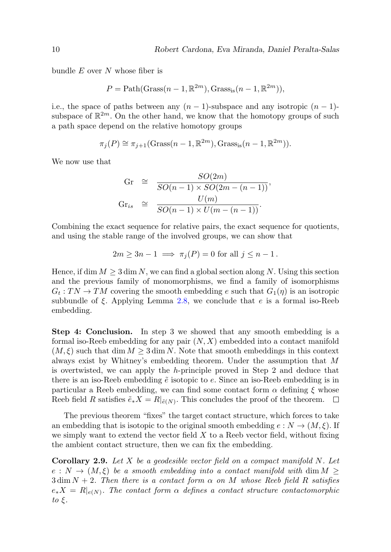bundle  $E$  over  $N$  whose fiber is

$$
P = \text{Path}(\text{Grass}(n-1,\mathbb{R}^{2m}), \text{Grass}_{\text{is}}(n-1,\mathbb{R}^{2m})),
$$

i.e., the space of paths between any  $(n-1)$ -subspace and any isotropic  $(n-1)$ subspace of  $\mathbb{R}^{2m}$ . On the other hand, we know that the homotopy groups of such a path space depend on the relative homotopy groups

$$
\pi_j(P) \cong \pi_{j+1}(\text{Grass}(n-1,\mathbb{R}^{2m}), \text{Grass}_{\text{is}}(n-1,\mathbb{R}^{2m})).
$$

We now use that

$$
Gr \cong \frac{SO(2m)}{SO(n-1) \times SO(2m - (n-1))},
$$
  
\n
$$
Gr_{is} \cong \frac{U(m)}{SO(n-1) \times U(m - (n-1))}.
$$

Combining the exact sequence for relative pairs, the exact sequence for quotients, and using the stable range of the involved groups, we can show that

$$
2m \ge 3n - 1 \implies \pi_j(P) = 0 \text{ for all } j \le n - 1.
$$

Hence, if dim  $M \geq 3$  dim N, we can find a global section along N. Using this section and the previous family of monomorphisms, we find a family of isomorphisms  $G_t: TN \to TM$  covering the smooth embedding e such that  $G_1(\eta)$  is an isotropic subbundle of  $\xi$ . Applying Lemma [2.8,](#page-8-0) we conclude that e is a formal iso-Reeb embedding.

Step 4: Conclusion. In step 3 we showed that any smooth embedding is a formal iso-Reeb embedding for any pair  $(N, X)$  embedded into a contact manifold  $(M, \xi)$  such that dim  $M \geq 3$  dim N. Note that smooth embeddings in this context always exist by Whitney's embedding theorem. Under the assumption that M is overtwisted, we can apply the  $h$ -principle proved in Step 2 and deduce that there is an iso-Reeb embedding  $\tilde{e}$  isotopic to e. Since an iso-Reeb embedding is in particular a Reeb embedding, we can find some contact form  $\alpha$  defining  $\xi$  whose Reeb field R satisfies  $\tilde{e}_*X = R|_{\tilde{e}(N)}$ . This concludes the proof of the theorem.

The previous theorem "fixes" the target contact structure, which forces to take an embedding that is isotopic to the original smooth embedding  $e: N \to (M, \xi)$ . If we simply want to extend the vector field  $X$  to a Reeb vector field, without fixing the ambient contact structure, then we can fix the embedding.

<span id="page-9-0"></span>**Corollary 2.9.** Let X be a geodesible vector field on a compact manifold N. Let  $e: N \to (M, \xi)$  be a smooth embedding into a contact manifold with dim  $M \geq$  $3 \dim N + 2$ . Then there is a contact form  $\alpha$  on M whose Reeb field R satisfies  $e_*X = R|_{e(N)}$ . The contact form  $\alpha$  defines a contact structure contactomorphic to  $\xi$ .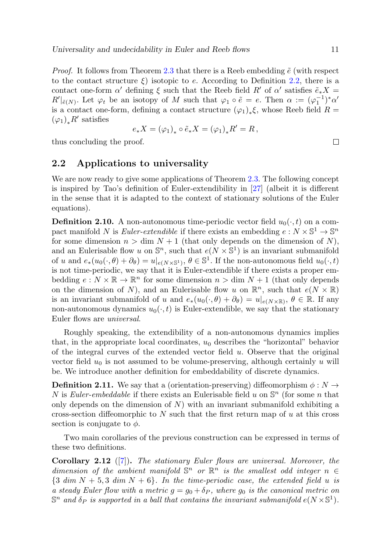*Proof.* It follows from Theorem [2.3](#page-5-1) that there is a Reeb embedding  $\tilde{e}$  (with respect to the contact structure  $\xi$ ) isotopic to e. According to Definition [2.2,](#page-5-0) there is a contact one-form  $\alpha'$  defining  $\xi$  such that the Reeb field  $R'$  of  $\alpha'$  satisfies  $\tilde{e}_*X$  =  $R'|_{\tilde{e}(N)}$ . Let  $\varphi_t$  be an isotopy of M such that  $\varphi_1 \circ \tilde{e} = e$ . Then  $\alpha := (\varphi_1^{-1})^* \alpha'$ is a contact one-form, defining a contact structure  $(\varphi_1)_*\xi$ , whose Reeb field  $R =$  $(\varphi_1)_*R'$  satisfies

$$
e_*X = (\varphi_1)_* \circ \tilde{e}_*X = (\varphi_1)_*R' = R,
$$

thus concluding the proof.

#### 2.2 Applications to universality

We are now ready to give some applications of Theorem [2.3.](#page-5-1) The following concept is inspired by Tao's definition of Euler-extendibility in [\[27\]](#page-23-4) (albeit it is different in the sense that it is adapted to the context of stationary solutions of the Euler equations).

**Definition 2.10.** A non-autonomous time-periodic vector field  $u_0(\cdot, t)$  on a compact manifold N is Euler-extendible if there exists an embedding  $e: N \times \mathbb{S}^1 \to \mathbb{S}^n$ for some dimension  $n > \dim N + 1$  (that only depends on the dimension of N), and an Eulerisable flow u on  $\mathbb{S}^n$ , such that  $e(N \times \mathbb{S}^1)$  is an invariant submanifold of u and  $e_*(u_0(\cdot,\theta) + \partial_\theta) = u|_{e(N \times \mathbb{S}^1)}$ ,  $\theta \in \mathbb{S}^1$ . If the non-autonomous field  $u_0(\cdot,t)$ is not time-periodic, we say that it is Euler-extendible if there exists a proper embedding  $e: N \times \mathbb{R} \to \mathbb{R}^n$  for some dimension  $n > \dim N + 1$  (that only depends on the dimension of N), and an Eulerisable flow u on  $\mathbb{R}^n$ , such that  $e(N \times \mathbb{R})$ is an invariant submanifold of u and  $e_*(u_0(\cdot,\theta) + \partial_\theta) = u|_{e(N \times \mathbb{R})}, \theta \in \mathbb{R}$ . If any non-autonomous dynamics  $u_0(\cdot, t)$  is Euler-extendible, we say that the stationary Euler flows are universal.

Roughly speaking, the extendibility of a non-autonomous dynamics implies that, in the appropriate local coordinates,  $u_0$  describes the "horizontal" behavior of the integral curves of the extended vector field  $u$ . Observe that the original vector field  $u_0$  is not assumed to be volume-preserving, although certainly u will be. We introduce another definition for embeddability of discrete dynamics.

<span id="page-10-0"></span>**Definition 2.11.** We say that a (orientation-preserving) diffeomorphism  $\phi: N \to$ N is Euler-embeddable if there exists an Eulerisable field u on  $\mathbb{S}^n$  (for some n that only depends on the dimension of  $N$ ) with an invariant submanifold exhibiting a cross-section diffeomorphic to  $N$  such that the first return map of  $u$  at this cross section is conjugate to  $\phi$ .

Two main corollaries of the previous construction can be expressed in terms of these two definitions.

<span id="page-10-1"></span>**Corollary 2.12** ([\[7\]](#page-22-2)). The stationary Euler flows are universal. Moreover, the dimension of the ambient manifold  $\mathbb{S}^n$  or  $\mathbb{R}^n$  is the smallest odd integer  $n \in$  ${3 \ dim N + 5, 3 \ dim N + 6}.$  In the time-periodic case, the extended field u is a steady Euler flow with a metric  $g = g_0 + \delta_P$ , where  $g_0$  is the canonical metric on  $\mathbb{S}^n$  and  $\delta_P$  is supported in a ball that contains the invariant submanifold  $e(N \times \mathbb{S}^1)$ .

 $\Box$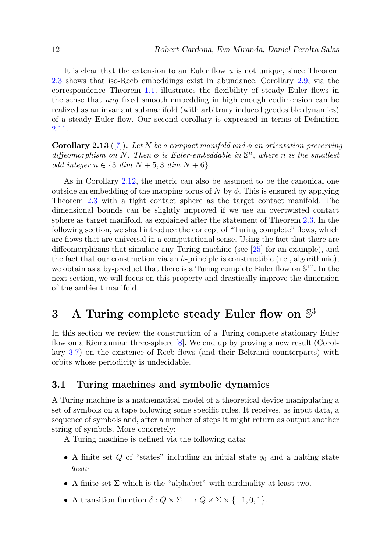It is clear that the extension to an Euler flow  $u$  is not unique, since Theorem [2.3](#page-5-1) shows that iso-Reeb embeddings exist in abundance. Corollary [2.9,](#page-9-0) via the correspondence Theorem [1.1,](#page-4-1) illustrates the flexibility of steady Euler flows in the sense that any fixed smooth embedding in high enough codimension can be realized as an invariant submanifold (with arbitrary induced geodesible dynamics) of a steady Euler flow. Our second corollary is expressed in terms of Definition [2.11.](#page-10-0)

**Corollary 2.13** ([\[7\]](#page-22-2)). Let N be a compact manifold and  $\phi$  an orientation-preserving diffeomorphism on N. Then  $\phi$  is Euler-embeddable in  $\mathbb{S}^n$ , where n is the smallest *odd integer*  $n \in \{3 \ dim N + 5, 3 \ dim N + 6\}.$ 

As in Corollary [2.12,](#page-10-1) the metric can also be assumed to be the canonical one outside an embedding of the mapping torus of N by  $\phi$ . This is ensured by applying Theorem [2.3](#page-5-1) with a tight contact sphere as the target contact manifold. The dimensional bounds can be slightly improved if we use an overtwisted contact sphere as target manifold, as explained after the statement of Theorem [2.3.](#page-5-1) In the following section, we shall introduce the concept of "Turing complete" flows, which are flows that are universal in a computational sense. Using the fact that there are diffeomorphisms that simulate any Turing machine (see [\[25\]](#page-23-2) for an example), and the fact that our construction via an h-principle is constructible (i.e., algorithmic), we obtain as a by-product that there is a Turing complete Euler flow on  $\mathbb{S}^{17}$ . In the next section, we will focus on this property and drastically improve the dimension of the ambient manifold.

# <span id="page-11-0"></span>3 A Turing complete steady Euler flow on  $\mathbb{S}^3$

In this section we review the construction of a Turing complete stationary Euler flow on a Riemannian three-sphere [\[8\]](#page-22-3). We end up by proving a new result (Corollary [3.7\)](#page-16-0) on the existence of Reeb flows (and their Beltrami counterparts) with orbits whose periodicity is undecidable.

#### 3.1 Turing machines and symbolic dynamics

A Turing machine is a mathematical model of a theoretical device manipulating a set of symbols on a tape following some specific rules. It receives, as input data, a sequence of symbols and, after a number of steps it might return as output another string of symbols. More concretely:

A Turing machine is defined via the following data:

- A finite set  $Q$  of "states" including an initial state  $q_0$  and a halting state  $q_{halt}$ .
- A finite set  $\Sigma$  which is the "alphabet" with cardinality at least two.
- A transition function  $\delta: Q \times \Sigma \longrightarrow Q \times \Sigma \times \{-1, 0, 1\}.$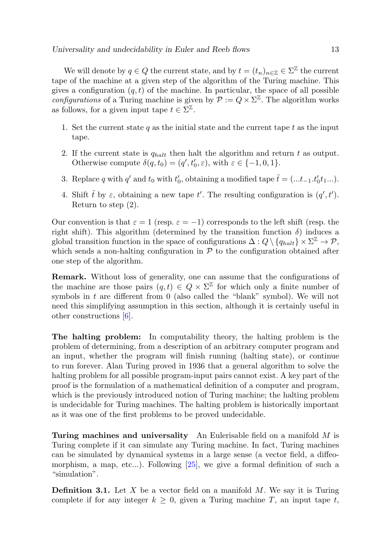We will denote by  $q \in Q$  the current state, and by  $t = (t_n)_{n \in \mathbb{Z}} \in \Sigma^{\mathbb{Z}}$  the current tape of the machine at a given step of the algorithm of the Turing machine. This gives a configuration  $(q, t)$  of the machine. In particular, the space of all possible *configurations* of a Turing machine is given by  $\mathcal{P} := Q \times \Sigma^{\mathbb{Z}}$ . The algorithm works as follows, for a given input tape  $t \in \Sigma^{\mathbb{Z}}$ .

- 1. Set the current state q as the initial state and the current tape t as the input tape.
- 2. If the current state is  $q_{halt}$  then halt the algorithm and return t as output. Otherwise compute  $\delta(q, t_0) = (q', t'_0, \varepsilon)$ , with  $\varepsilon \in \{-1, 0, 1\}$ .
- 3. Replace q with q' and  $t_0$  with  $t'_0$ , obtaining a modified tape  $\tilde{t} = (\dots t_{-1} \cdot t'_0 t_1 \dots)$ .
- 4. Shift  $\tilde{t}$  by  $\varepsilon$ , obtaining a new tape  $t'$ . The resulting configuration is  $(q', t')$ . Return to step (2).

Our convention is that  $\varepsilon = 1$  (resp.  $\varepsilon = -1$ ) corresponds to the left shift (resp. the right shift). This algorithm (determined by the transition function  $\delta$ ) induces a global transition function in the space of configurations  $\Delta: Q \setminus \{q_{halt}\} \times \Sigma^{\mathbb{Z}} \to \mathcal{P}$ , which sends a non-halting configuration in  $P$  to the configuration obtained after one step of the algorithm.

Remark. Without loss of generality, one can assume that the configurations of the machine are those pairs  $(q, t) \in Q \times \Sigma^{\mathbb{Z}}$  for which only a finite number of symbols in  $t$  are different from 0 (also called the "blank" symbol). We will not need this simplifying assumption in this section, although it is certainly useful in other constructions [\[6\]](#page-22-1).

The halting problem: In computability theory, the halting problem is the problem of determining, from a description of an arbitrary computer program and an input, whether the program will finish running (halting state), or continue to run forever. Alan Turing proved in 1936 that a general algorithm to solve the halting problem for all possible program-input pairs cannot exist. A key part of the proof is the formulation of a mathematical definition of a computer and program, which is the previously introduced notion of Turing machine; the halting problem is undecidable for Turing machines. The halting problem is historically important as it was one of the first problems to be proved undecidable.

Turing machines and universality An Eulerisable field on a manifold  $M$  is Turing complete if it can simulate any Turing machine. In fact, Turing machines can be simulated by dynamical systems in a large sense (a vector field, a diffeomorphism, a map, etc...). Following [\[25\]](#page-23-2), we give a formal definition of such a "simulation".

<span id="page-12-0"></span>**Definition 3.1.** Let X be a vector field on a manifold  $M$ . We say it is Turing complete if for any integer  $k \geq 0$ , given a Turing machine T, an input tape t,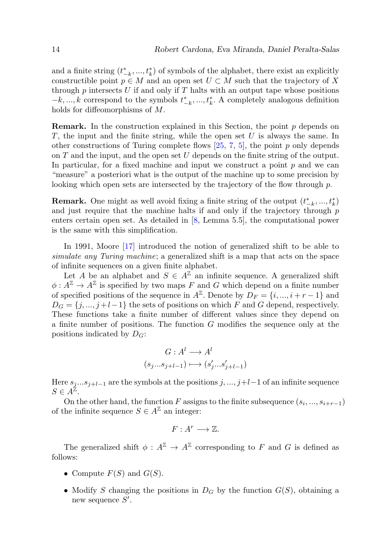and a finite string  $(t_{-k}^*,...,t_k^*)$  of symbols of the alphabet, there exist an explicitly constructible point  $p \in M$  and an open set  $U \subset M$  such that the trajectory of X through p intersects U if and only if T halts with an output tape whose positions − $k, \ldots, k$  correspond to the symbols  $t_{-k}^*, \ldots, t_k^*$ . A completely analogous definition holds for diffeomorphisms of M.

**Remark.** In the construction explained in this Section, the point  $p$  depends on  $T$ , the input and the finite string, while the open set  $U$  is always the same. In other constructions of Turing complete flows  $[25, 7, 5]$  $[25, 7, 5]$  $[25, 7, 5]$  $[25, 7, 5]$  $[25, 7, 5]$ , the point p only depends on  $T$  and the input, and the open set  $U$  depends on the finite string of the output. In particular, for a fixed machine and input we construct a point  $p$  and we can "measure" a posteriori what is the output of the machine up to some precision by looking which open sets are intersected by the trajectory of the flow through  $p$ .

**Remark.** One might as well avoid fixing a finite string of the output  $(t^*_{-k},...,t^*_{k})$ and just require that the machine halts if and only if the trajectory through p enters certain open set. As detailed in [\[8,](#page-22-3) Lemma 5.5], the computational power is the same with this simplification.

In 1991, Moore [\[17\]](#page-22-5) introduced the notion of generalized shift to be able to simulate any Turing machine; a generalized shift is a map that acts on the space of infinite sequences on a given finite alphabet.

Let A be an alphabet and  $S \in A^{\mathbb{Z}}$  an infinite sequence. A generalized shift  $\phi: A^{\mathbb{Z}} \to A^{\mathbb{Z}}$  is specified by two maps F and G which depend on a finite number of specified positions of the sequence in  $A^{\mathbb{Z}}$ . Denote by  $D_F = \{i, ..., i + r - 1\}$  and  $D_G = \{j, ..., j+l-1\}$  the sets of positions on which F and G depend, respectively. These functions take a finite number of different values since they depend on a finite number of positions. The function G modifies the sequence only at the positions indicated by  $D_G$ :

$$
G: Al \longrightarrow Al
$$

$$
(s_j...s_{j+l-1}) \longmapsto (s'_j...s'_{j+l-1})
$$

Here  $s_j...s_{j+l-1}$  are the symbols at the positions  $j, ..., j+l-1$  of an infinite sequence  $S \in A^{\check{\mathbb{Z}}}$ .

On the other hand, the function F assigns to the finite subsequence  $(s_i, ..., s_{i+r-1})$ of the infinite sequence  $S \in A^{\mathbb{Z}}$  an integer:

$$
F: A^r \longrightarrow \mathbb{Z}.
$$

The generalized shift  $\phi: A^{\mathbb{Z}} \to A^{\mathbb{Z}}$  corresponding to F and G is defined as follows:

- Compute  $F(S)$  and  $G(S)$ .
- Modify S changing the positions in  $D_G$  by the function  $G(S)$ , obtaining a new sequence  $S'$ .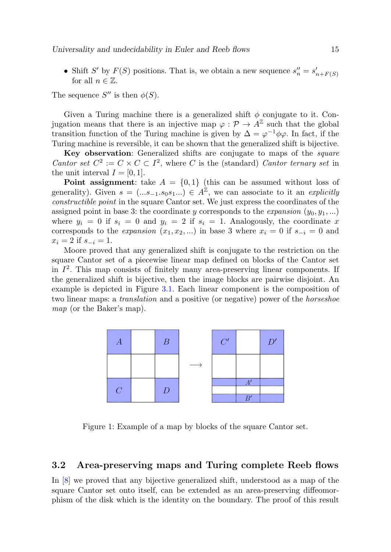• Shift S' by  $F(S)$  positions. That is, we obtain a new sequence  $s_n'' = s_{n+F(S)}'$ for all  $n \in \mathbb{Z}$ .

The sequence  $S''$  is then  $\phi(S)$ .

Given a Turing machine there is a generalized shift  $\phi$  conjugate to it. Conjugation means that there is an injective map  $\varphi : \mathcal{P} \to A^{\mathbb{Z}}$  such that the global transition function of the Turing machine is given by  $\Delta = \varphi^{-1} \phi \varphi$ . In fact, if the Turing machine is reversible, it can be shown that the generalized shift is bijective.

Key observation: Generalized shifts are conjugate to maps of the *square* Cantor set  $C^2 := C \times C \subset I^2$ , where C is the (standard) Cantor ternary set in the unit interval  $I = [0, 1]$ .

**Point assignment:** take  $A = \{0, 1\}$  (this can be assumed without loss of generality). Given  $s = (...s_{-1}.s_0s_1...) \in A^{\mathbb{Z}}$ , we can associate to it an *explicitly* constructible point in the square Cantor set. We just express the coordinates of the assigned point in base 3: the coordinate y corresponds to the *expansion*  $(y_0, y_1, \ldots)$ where  $y_i = 0$  if  $s_i = 0$  and  $y_i = 2$  if  $s_i = 1$ . Analogously, the coordinate x corresponds to the *expansion*  $(x_1, x_2, ...)$  in base 3 where  $x_i = 0$  if  $s_{-i} = 0$  and  $x_i = 2$  if  $s_{-i} = 1$ .

Moore proved that any generalized shift is conjugate to the restriction on the square Cantor set of a piecewise linear map defined on blocks of the Cantor set in  $I<sup>2</sup>$ . This map consists of finitely many area-preserving linear components. If the generalized shift is bijective, then the image blocks are pairwise disjoint. An example is depicted in Figure [3.1.](#page-12-0) Each linear component is the composition of two linear maps: a *translation* and a positive (or negative) power of the *horseshoe* map (or the Baker's map).



Figure 1: Example of a map by blocks of the square Cantor set.

#### 3.2 Area-preserving maps and Turing complete Reeb flows

In [\[8\]](#page-22-3) we proved that any bijective generalized shift, understood as a map of the square Cantor set onto itself, can be extended as an area-preserving diffeomorphism of the disk which is the identity on the boundary. The proof of this result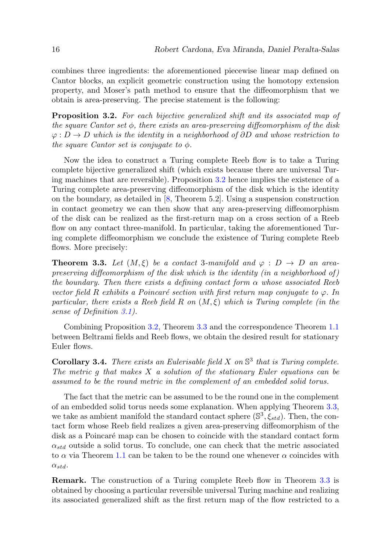combines three ingredients: the aforementioned piecewise linear map defined on Cantor blocks, an explicit geometric construction using the homotopy extension property, and Moser's path method to ensure that the diffeomorphism that we obtain is area-preserving. The precise statement is the following:

<span id="page-15-0"></span>**Proposition 3.2.** For each bijective generalized shift and its associated map of the square Cantor set  $\phi$ , there exists an area-preserving diffeomorphism of the disk  $\varphi: D \to D$  which is the identity in a neighborhood of  $\partial D$  and whose restriction to the square Cantor set is conjugate to  $\phi$ .

Now the idea to construct a Turing complete Reeb flow is to take a Turing complete bijective generalized shift (which exists because there are universal Turing machines that are reversible). Proposition [3.2](#page-15-0) hence implies the existence of a Turing complete area-preserving diffeomorphism of the disk which is the identity on the boundary, as detailed in [\[8,](#page-22-3) Theorem 5.2]. Using a suspension construction in contact geometry we can then show that any area-preserving diffeomorphism of the disk can be realized as the first-return map on a cross section of a Reeb flow on any contact three-manifold. In particular, taking the aforementioned Turing complete diffeomorphism we conclude the existence of Turing complete Reeb flows. More precisely:

<span id="page-15-1"></span>**Theorem 3.3.** Let  $(M, \xi)$  be a contact 3-manifold and  $\varphi : D \to D$  an areapreserving diffeomorphism of the disk which is the identity (in a neighborhood of) the boundary. Then there exists a defining contact form  $\alpha$  whose associated Reeb vector field R exhibits a Poincaré section with first return map conjugate to  $\varphi$ . In particular, there exists a Reeb field R on  $(M,\xi)$  which is Turing complete (in the sense of Definition [3.1\)](#page-12-0).

Combining Proposition [3.2,](#page-15-0) Theorem [3.3](#page-15-1) and the correspondence Theorem [1.1](#page-4-1) between Beltrami fields and Reeb flows, we obtain the desired result for stationary Euler flows.

<span id="page-15-2"></span>**Corollary 3.4.** There exists an Eulerisable field  $X$  on  $\mathbb{S}^3$  that is Turing complete. The metric  $g$  that makes  $X$  a solution of the stationary Euler equations can be assumed to be the round metric in the complement of an embedded solid torus.

The fact that the metric can be assumed to be the round one in the complement of an embedded solid torus needs some explanation. When applying Theorem [3.3,](#page-15-1) we take as ambient manifold the standard contact sphere  $(\mathbb{S}^3, \xi_{std})$ . Then, the contact form whose Reeb field realizes a given area-preserving diffeomorphism of the disk as a Poincaré map can be chosen to coincide with the standard contact form  $\alpha_{std}$  outside a solid torus. To conclude, one can check that the metric associated to  $\alpha$  via Theorem [1.1](#page-4-1) can be taken to be the round one whenever  $\alpha$  coincides with  $\alpha_{std}$ .

Remark. The construction of a Turing complete Reeb flow in Theorem [3.3](#page-15-1) is obtained by choosing a particular reversible universal Turing machine and realizing its associated generalized shift as the first return map of the flow restricted to a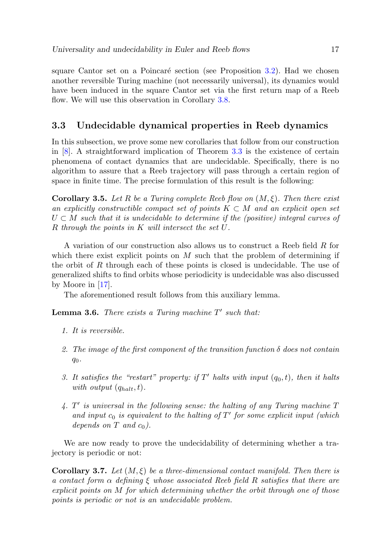square Cantor set on a Poincaré section (see Proposition  $3.2$ ). Had we chosen another reversible Turing machine (not necessarily universal), its dynamics would have been induced in the square Cantor set via the first return map of a Reeb flow. We will use this observation in Corollary [3.8.](#page-19-1)

#### 3.3 Undecidable dynamical properties in Reeb dynamics

In this subsection, we prove some new corollaries that follow from our construction in [\[8\]](#page-22-3). A straightforward implication of Theorem [3.3](#page-15-1) is the existence of certain phenomena of contact dynamics that are undecidable. Specifically, there is no algorithm to assure that a Reeb trajectory will pass through a certain region of space in finite time. The precise formulation of this result is the following:

**Corollary 3.5.** Let R be a Turing complete Reeb flow on  $(M, \xi)$ . Then there exist an explicitly constructible compact set of points  $K \subset M$  and an explicit open set  $U \subset M$  such that it is undecidable to determine if the (positive) integral curves of R through the points in K will intersect the set U.

A variation of our construction also allows us to construct a Reeb field R for which there exist explicit points on  $M$  such that the problem of determining if the orbit of  $R$  through each of these points is closed is undecidable. The use of generalized shifts to find orbits whose periodicity is undecidable was also discussed by Moore in [\[17\]](#page-22-5).

The aforementioned result follows from this auxiliary lemma.

<span id="page-16-1"></span>**Lemma 3.6.** There exists a Turing machine  $T'$  such that:

- 1. It is reversible.
- 2. The image of the first component of the transition function  $\delta$  does not contain  $q_0$ .
- 3. It satisfies the "restart" property: if  $T'$  halts with input  $(q_0, t)$ , then it halts with output  $(q_{halt}, t)$ .
- $4. T'$  is universal in the following sense: the halting of any Turing machine  $T$ and input  $c_0$  is equivalent to the halting of  $T'$  for some explicit input (which depends on  $T$  and  $c_0$ ).

We are now ready to prove the undecidability of determining whether a trajectory is periodic or not:

<span id="page-16-0"></span>**Corollary 3.7.** Let  $(M, \xi)$  be a three-dimensional contact manifold. Then there is a contact form  $\alpha$  defining  $\xi$  whose associated Reeb field R satisfies that there are explicit points on M for which determining whether the orbit through one of those points is periodic or not is an undecidable problem.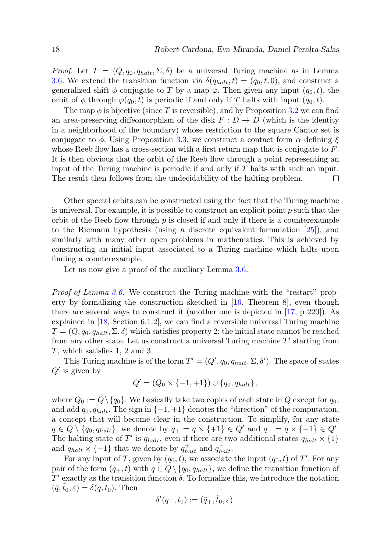*Proof.* Let  $T = (Q, q_0, q_{halt}, \Sigma, \delta)$  be a universal Turing machine as in Lemma [3.6.](#page-16-1) We extend the transition function via  $\delta(q_{halt}, t) = (q_0, t, 0)$ , and construct a generalized shift  $\phi$  conjugate to T by a map  $\varphi$ . Then given any input  $(q_0, t)$ , the orbit of  $\phi$  through  $\varphi(q_0, t)$  is periodic if and only if T halts with input  $(q_0, t)$ .

The map  $\phi$  is bijective (since T is reversible), and by Proposition [3.2](#page-15-0) we can find an area-preserving diffeomorphism of the disk  $F: D \to D$  (which is the identity in a neighborhood of the boundary) whose restriction to the square Cantor set is conjugate to  $\phi$ . Using Proposition [3.3,](#page-15-1) we construct a contact form  $\alpha$  defining  $\xi$ whose Reeb flow has a cross-section with a first return map that is conjugate to  $F$ . It is then obvious that the orbit of the Reeb flow through a point representing an input of the Turing machine is periodic if and only if T halts with such an input. The result then follows from the undecidability of the halting problem. □

Other special orbits can be constructed using the fact that the Turing machine is universal. For example, it is possible to construct an explicit point  $p$  such that the orbit of the Reeb flow through  $p$  is closed if and only if there is a counterexample to the Riemann hypothesis (using a discrete equivalent formulation [\[25\]](#page-23-2)), and similarly with many other open problems in mathematics. This is achieved by constructing an initial input associated to a Turing machine which halts upon finding a counterexample.

Let us now give a proof of the auxiliary Lemma [3.6.](#page-16-1)

Proof of Lemma [3.6.](#page-16-1) We construct the Turing machine with the "restart" property by formalizing the construction sketched in [\[16,](#page-22-17) Theorem 8], even though there are several ways to construct it (another one is depicted in [\[17,](#page-22-5) p 220]). As explained in [\[18,](#page-22-18) Section 6.1.2], we can find a reversible universal Turing machine  $T = (Q, q_0, q_{halt}, \Sigma, \delta)$  which satisfies property 2: the initial state cannot be reached from any other state. Let us construct a universal Turing machine  $T'$  starting from T, which satisfies 1, 2 and 3.

This Turing machine is of the form  $T' = (Q', q_0, q_{halt}, \Sigma, \delta')$ . The space of states  $Q'$  is given by

$$
Q' = (Q_0 \times \{-1, +1\}) \cup \{q_0, q_{halt}\},\
$$

where  $Q_0 := Q \setminus \{q_0\}$ . We basically take two copies of each state in Q except for  $q_0$ , and add  $q_0, q_{halt}$ . The sign in  $\{-1, +1\}$  denotes the "direction" of the computation, a concept that will become clear in the construction. To simplify, for any state  $q \in Q \setminus \{q_0, q_{halt}\},$  we denote by  $q_+ = q \times \{+1\} \in Q'$  and  $q_- = q \times \{-1\} \in Q'.$ The halting state of T' is  $q_{halt}$ , even if there are two additional states  $q_{halt} \times \{1\}$ and  $q_{halt} \times \{-1\}$  that we denote by  $q_{halt}^+$  and  $q_{halt}^-$ .

For any input of T, given by  $(q_0, t)$ , we associate the input  $(q_0, t)$  of T'. For any pair of the form  $(q_+, t)$  with  $q \in Q \setminus \{q_0, q_{halt}\}\,$ , we define the transition function of  $T'$  exactly as the transition function  $\delta$ . To formalize this, we introduce the notation  $(\tilde{q},t_0,\varepsilon) = \delta(q,t_0)$ . Then

$$
\delta'(q_+, t_0) := (\tilde{q}_+, \tilde{t}_0, \varepsilon).
$$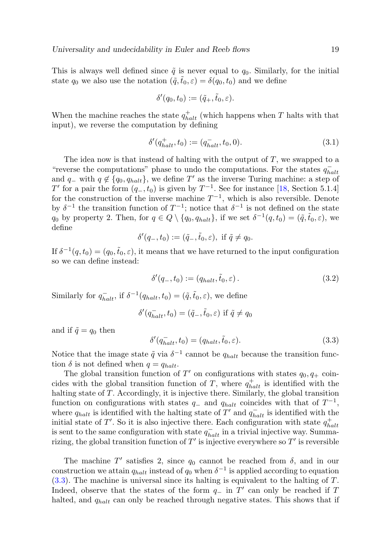This is always well defined since  $\tilde{q}$  is never equal to  $q_0$ . Similarly, for the initial state  $q_0$  we also use the notation  $(\tilde{q},\tilde{t}_0,\varepsilon)=\delta(q_0,t_0)$  and we define

$$
\delta'(q_0, t_0) := (\tilde{q}_+, \tilde{t}_0, \varepsilon).
$$

When the machine reaches the state  $q_{halt}^+$  (which happens when T halts with that input), we reverse the computation by defining

$$
\delta'(q_{halt}^+, t_0) := (q_{halt}^-, t_0, 0). \tag{3.1}
$$

The idea now is that instead of halting with the output of  $T$ , we swapped to a "reverse the computations" phase to undo the computations. For the states  $q_{halt}^$ and  $q_$  with  $q \notin \{q_0, q_{halt}\}\$ , we define T' as the inverse Turing machine: a step of  $T'$  for a pair the form  $(q_-, t_0)$  is given by  $T^{-1}$ . See for instance [\[18,](#page-22-18) Section 5.1.4] for the construction of the inverse machine  $T^{-1}$ , which is also reversible. Denote by  $\delta^{-1}$  the transition function of  $T^{-1}$ ; notice that  $\delta^{-1}$  is not defined on the state  $q_0$  by property 2. Then, for  $q \in Q \setminus \{q_0, q_{halt}\}\$ , if we set  $\delta^{-1}(q, t_0) = (\tilde{q}, \tilde{t}_0, \varepsilon)$ , we define

$$
\delta'(q_-, t_0) := (\tilde{q}_-, \tilde{t}_0, \varepsilon), \text{ if } \tilde{q} \neq q_0.
$$

If  $\delta^{-1}(q, t_0) = (q_0, \tilde{t}_0, \varepsilon)$ , it means that we have returned to the input configuration so we can define instead:

$$
\delta'(q_-, t_0) := (q_{halt}, \tilde{t}_0, \varepsilon).
$$
\n(3.2)

Similarly for  $q_{halt}^-$ , if  $\delta^{-1}(q_{halt}, t_0) = (\tilde{q}, \tilde{t}_0, \varepsilon)$ , we define

$$
\delta'(q_{halt}^-, t_0) = (\tilde{q}_-, \tilde{t}_0, \varepsilon) \text{ if } \tilde{q} \neq q_0
$$

and if  $\tilde{q} = q_0$  then

<span id="page-18-0"></span>
$$
\delta'(q_{halt}^-, t_0) = (q_{halt}, \tilde{t}_0, \varepsilon). \tag{3.3}
$$

Notice that the image state  $\tilde{q}$  via  $\delta^{-1}$  cannot be  $q_{halt}$  because the transition function  $\delta$  is not defined when  $q = q_{halt}$ .

The global transition function of  $T'$  on configurations with states  $q_0, q_+$  coincides with the global transition function of T, where  $q_{halt}^+$  is identified with the halting state of T. Accordingly, it is injective there. Similarly, the global transition function on configurations with states  $q_-\,$  and  $q_{halt}$  coincides with that of  $T^{-1}$ , where  $q_{halt}$  is identified with the halting state of T' and  $q_{halt}^-$  is identified with the initial state of T'. So it is also injective there. Each configuration with state  $q_{halt}^+$ is sent to the same configuration with state  $q_{halt}^-$  in a trivial injective way. Summarizing, the global transition function of  $T'$  is injective everywhere so  $T'$  is reversible

The machine  $T'$  satisfies 2, since  $q_0$  cannot be reached from  $\delta$ , and in our construction we attain  $q_{halt}$  instead of  $q_0$  when  $\delta^{-1}$  is applied according to equation  $(3.3)$ . The machine is universal since its halting is equivalent to the halting of T. Indeed, observe that the states of the form  $q_$  in  $T'$  can only be reached if T halted, and  $q_{halt}$  can only be reached through negative states. This shows that if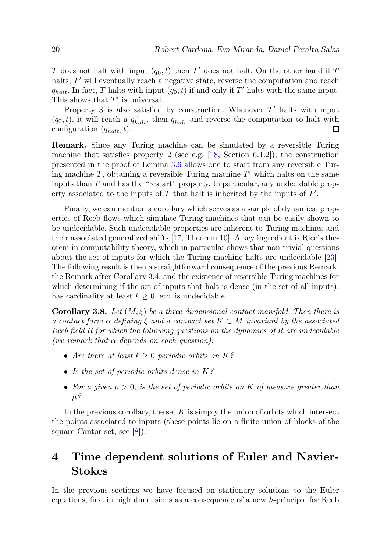T does not halt with input  $(q_0, t)$  then T' does not halt. On the other hand if T halts,  $T'$  will eventually reach a negative state, reverse the computation and reach  $q_{halt}$ . In fact, T halts with input  $(q_0, t)$  if and only if T' halts with the same input. This shows that  $T'$  is universal.

Property 3 is also satisfied by construction. Whenever  $T'$  halts with input  $(q_0, t)$ , it will reach a  $q_{halt}^+$ , then  $q_{halt}^-$  and reverse the computation to halt with configuration  $(q_{halt}, t)$ .

Remark. Since any Turing machine can be simulated by a reversible Turing machine that satisfies property 2 (see e.g.  $[18, \text{ Section } 6.1.2]$  $[18, \text{ Section } 6.1.2]$ ), the construction presented in the proof of Lemma [3.6](#page-16-1) allows one to start from any reversible Turing machine  $T$ , obtaining a reversible Turing machine  $T'$  which halts on the same inputs than  $T$  and has the "restart" property. In particular, any undecidable property associated to the inputs of  $T$  that halt is inherited by the inputs of  $T'$ .

Finally, we can mention a corollary which serves as a sample of dynamical properties of Reeb flows which simulate Turing machines that can be easily shown to be undecidable. Such undecidable properties are inherent to Turing machines and their associated generalized shifts [\[17,](#page-22-5) Theorem 10]. A key ingredient is Rice's theorem in computability theory, which in particular shows that non-trivial questions about the set of inputs for which the Turing machine halts are undecidable [\[23\]](#page-23-7). The following result is then a straightforward consequence of the previous Remark, the Remark after Corollary [3.4,](#page-15-2) and the existence of reversible Turing machines for which determining if the set of inputs that halt is dense (in the set of all inputs), has cardinality at least  $k \geq 0$ , etc. is undecidable.

<span id="page-19-1"></span>**Corollary 3.8.** Let  $(M, \xi)$  be a three-dimensional contact manifold. Then there is a contact form  $\alpha$  defining  $\xi$  and a compact set  $K \subset M$  invariant by the associated Reeb field R for which the following questions on the dynamics of R are undecidable (we remark that  $\alpha$  depends on each question):

- Are there at least  $k \geq 0$  periodic orbits on  $K$ ?
- Is the set of periodic orbits dense in  $K$ ?
- For a given  $\mu > 0$ , is the set of periodic orbits on K of measure greater than  $\mu$ ?

In the previous corollary, the set  $K$  is simply the union of orbits which intersect the points associated to inputs (these points lie on a finite union of blocks of the square Cantor set, see [\[8\]](#page-22-3)).

## <span id="page-19-0"></span>4 Time dependent solutions of Euler and Navier-Stokes

In the previous sections we have focused on stationary solutions to the Euler equations, first in high dimensions as a consequence of a new h-principle for Reeb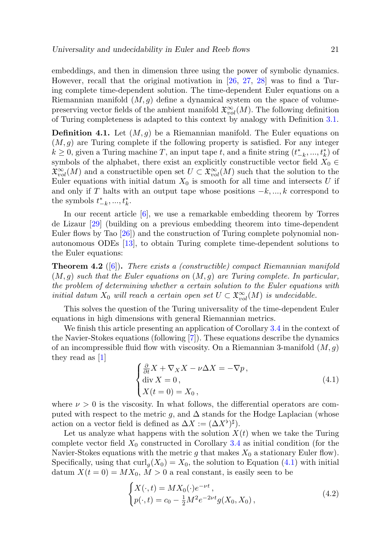embeddings, and then in dimension three using the power of symbolic dynamics. However, recall that the original motivation in [\[26,](#page-23-3) [27,](#page-23-4) [28\]](#page-23-0) was to find a Turing complete time-dependent solution. The time-dependent Euler equations on a Riemannian manifold  $(M, g)$  define a dynamical system on the space of volumepreserving vector fields of the ambient manifold  $\mathfrak{X}^{\infty}_{vol}(M)$ . The following definition of Turing completeness is adapted to this context by analogy with Definition [3.1.](#page-12-0)

**Definition 4.1.** Let  $(M, g)$  be a Riemannian manifold. The Euler equations on  $(M, g)$  are Turing complete if the following property is satisfied. For any integer  $k \geq 0$ , given a Turing machine T, an input tape t, and a finite string  $(t^*_{-k},...,t^*_{k})$  of symbols of the alphabet, there exist an explicitly constructible vector field  $X_0 \in$  $\mathfrak{X}^{\infty}_{vol}(M)$  and a constructible open set  $U \subset \mathfrak{X}^{\infty}_{vol}(M)$  such that the solution to the Euler equations with initial datum  $X_0$  is smooth for all time and intersects U if and only if T halts with an output tape whose positions  $-k, ..., k$  correspond to the symbols  $t_{-k}^*,...,t_k^*$ .

In our recent article [\[6\]](#page-22-1), we use a remarkable embedding theorem by Torres de Lizaur [\[29\]](#page-23-6) (building on a previous embedding theorem into time-dependent Euler flows by Tao [\[26\]](#page-23-3)) and the construction of Turing complete polynomial nonautonomous ODEs [\[13\]](#page-22-19), to obtain Turing complete time-dependent solutions to the Euler equations:

**Theorem 4.2** ([\[6\]](#page-22-1)). There exists a (constructible) compact Riemannian manifold  $(M, g)$  such that the Euler equations on  $(M, g)$  are Turing complete. In particular, the problem of determining whether a certain solution to the Euler equations with initial datum  $X_0$  will reach a certain open set  $U \subset \mathfrak{X}^\infty_{vol}(M)$  is undecidable.

This solves the question of the Turing universality of the time-dependent Euler equations in high dimensions with general Riemannian metrics.

We finish this article presenting an application of Corollary [3.4](#page-15-2) in the context of the Navier-Stokes equations (following [\[7\]](#page-22-2)). These equations describe the dynamics of an incompressible fluid flow with viscosity. On a Riemannian 3-manifold  $(M, g)$ they read as [\[1\]](#page-21-1)

<span id="page-20-0"></span>
$$
\begin{cases} \frac{\partial}{\partial t} X + \nabla_X X - \nu \Delta X = -\nabla p, \\ \text{div } X = 0, \\ X(t = 0) = X_0, \end{cases}
$$
\n(4.1)

where  $\nu > 0$  is the viscosity. In what follows, the differential operators are computed with respect to the metric g, and  $\Delta$  stands for the Hodge Laplacian (whose action on a vector field is defined as  $\Delta X := (\Delta X^{\flat})^{\sharp}$ .

Let us analyze what happens with the solution  $X(t)$  when we take the Turing complete vector field  $X_0$  constructed in Corollary [3.4](#page-15-2) as initial condition (for the Navier-Stokes equations with the metric g that makes  $X_0$  a stationary Euler flow). Specifically, using that  $\text{curl}_g(X_0) = X_0$ , the solution to Equation [\(4.1\)](#page-20-0) with initial datum  $X(t=0) = MX_0, M>0$  a real constant, is easily seen to be

$$
\begin{cases} X(\cdot, t) = MX_0(\cdot)e^{-\nu t}, \\ p(\cdot, t) = c_0 - \frac{1}{2}M^2e^{-2\nu t}g(X_0, X_0), \end{cases}
$$
\n(4.2)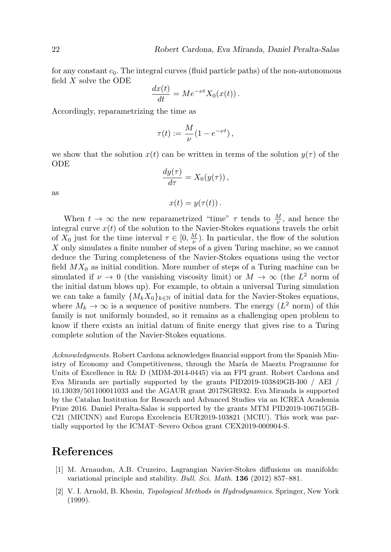for any constant  $c_0$ . The integral curves (fluid particle paths) of the non-autonomous field  $X$  solve the ODE

$$
\frac{dx(t)}{dt} = Me^{-\nu t}X_0(x(t)).
$$

Accordingly, reparametrizing the time as

$$
\tau(t) := \frac{M}{\nu} (1 - e^{-\nu t}),
$$

we show that the solution  $x(t)$  can be written in terms of the solution  $y(\tau)$  of the ODE

$$
\frac{dy(\tau)}{d\tau} = X_0(y(\tau)),
$$
  

$$
x(t) = y(\tau(t)).
$$

as

When  $t \to \infty$  the new reparametrized "time"  $\tau$  tends to  $\frac{M}{\nu}$ , and hence the integral curve  $x(t)$  of the solution to the Navier-Stokes equations travels the orbit of  $X_0$  just for the time interval  $\tau \in [0, \frac{M}{\nu})$ . In particular, the flow of the solution X only simulates a finite number of steps of a given Turing machine, so we cannot deduce the Turing completeness of the Navier-Stokes equations using the vector field  $MX_0$  as initial condition. More number of steps of a Turing machine can be simulated if  $\nu \to 0$  (the vanishing viscosity limit) or  $M \to \infty$  (the  $L^2$  norm of the initial datum blows up). For example, to obtain a universal Turing simulation we can take a family  $\{M_k X_0\}_{k\in\mathbb{N}}$  of initial data for the Navier-Stokes equations, where  $M_k \to \infty$  is a sequence of positive numbers. The energy  $(L^2 \text{ norm})$  of this family is not uniformly bounded, so it remains as a challenging open problem to know if there exists an initial datum of finite energy that gives rise to a Turing complete solution of the Navier-Stokes equations.

Acknowledgments. Robert Cardona acknowledges financial support from the Spanish Ministry of Economy and Competitiveness, through the María de Maeztu Programme for Units of Excellence in R& D (MDM-2014-0445) via an FPI grant. Robert Cardona and Eva Miranda are partially supported by the grants PID2019-103849GB-I00 / AEI / 10.13039/501100011033 and the AGAUR grant 2017SGR932. Eva Miranda is supported by the Catalan Institution for Research and Advanced Studies via an ICREA Academia Prize 2016. Daniel Peralta-Salas is supported by the grants MTM PID2019-106715GB-C21 (MICINN) and Europa Excelencia EUR2019-103821 (MCIU). This work was partially supported by the ICMAT–Severo Ochoa grant CEX2019-000904-S.

## References

- <span id="page-21-1"></span>[1] M. Arnaudon, A.B. Cruzeiro, Lagrangian Navier-Stokes diffusions on manifolds: variational principle and stability. Bull. Sci. Math. **136** (2012) 857–881.
- <span id="page-21-0"></span>[2] V. I. Arnold, B. Khesin, Topological Methods in Hydrodynamics. Springer, New York (1999).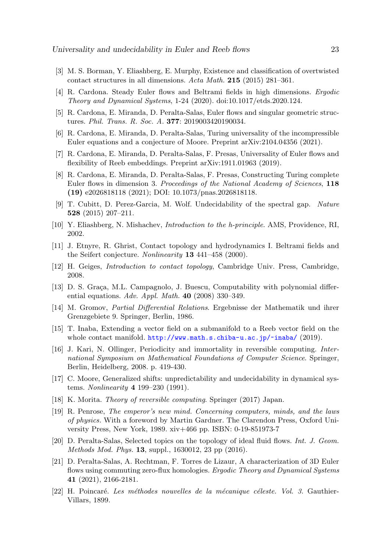- <span id="page-22-13"></span>[3] M. S. Borman, Y. Eliashberg, E. Murphy, Existence and classification of overtwisted contact structures in all dimensions. Acta Math. 215 (2015) 281–361.
- <span id="page-22-9"></span>[4] R. Cardona. Steady Euler flows and Beltrami fields in high dimensions. Ergodic Theory and Dynamical Systems, 1-24 (2020). doi:10.1017/etds.2020.124.
- <span id="page-22-0"></span>[5] R. Cardona, E. Miranda, D. Peralta-Salas, Euler flows and singular geometric structures. Phil. Trans. R. Soc. A. 377: 2019003420190034.
- <span id="page-22-1"></span>[6] R. Cardona, E. Miranda, D. Peralta-Salas, Turing universality of the incompressible Euler equations and a conjecture of Moore. Preprint arXiv:2104.04356 (2021).
- <span id="page-22-2"></span>[7] R. Cardona, E. Miranda, D. Peralta-Salas, F. Presas, Universality of Euler flows and flexibility of Reeb embeddings. Preprint arXiv:1911.01963 (2019).
- <span id="page-22-3"></span>[8] R. Cardona, E. Miranda, D. Peralta-Salas, F. Presas, Constructing Turing complete Euler flows in dimension 3. Proceedings of the National Academy of Sciences, 118 (19) e2026818118 (2021); DOI: 10.1073/pnas.2026818118.
- <span id="page-22-6"></span>[9] T. Cubitt, D. Perez-Garcia, M. Wolf. Undecidability of the spectral gap. Nature 528 (2015) 207–211.
- <span id="page-22-15"></span>[10] Y. Eliashberg, N. Mishachev, Introduction to the h-principle. AMS, Providence, RI, 2002.
- <span id="page-22-11"></span>[11] J. Etnyre, R. Ghrist, Contact topology and hydrodynamics I. Beltrami fields and the Seifert conjecture. Nonlinearity 13 441-458 (2000).
- <span id="page-22-14"></span>[12] H. Geiges, Introduction to contact topology, Cambridge Univ. Press, Cambridge, 2008.
- <span id="page-22-19"></span>[13] D. S. Graça, M.L. Campagnolo, J. Buescu, Computability with polynomial differential equations. Adv. Appl. Math. 40 (2008) 330–349.
- <span id="page-22-12"></span>[14] M. Gromov, Partial Differential Relations. Ergebnisse der Mathematik und ihrer Grenzgebiete 9. Springer, Berlin, 1986.
- <span id="page-22-16"></span>[15] T. Inaba, Extending a vector field on a submanifold to a Reeb vector field on the whole contact manifold. <http://www.math.s.chiba-u.ac.jp/~inaba/> (2019).
- <span id="page-22-17"></span>[16] J. Kari, N. Ollinger, Periodicity and immortality in reversible computing. International Symposium on Mathematical Foundations of Computer Science. Springer, Berlin, Heidelberg, 2008. p. 419-430.
- <span id="page-22-5"></span>[17] C. Moore, Generalized shifts: unpredictability and undecidability in dynamical systems. Nonlinearity 4 199–230 (1991).
- <span id="page-22-18"></span>[18] K. Morita. Theory of reversible computing. Springer (2017) Japan.
- <span id="page-22-4"></span>[19] R. Penrose, The emperor's new mind. Concerning computers, minds, and the laws of physics. With a foreword by Martin Gardner. The Clarendon Press, Oxford University Press, New York, 1989. xiv+466 pp. ISBN: 0-19-851973-7
- <span id="page-22-8"></span>[20] D. Peralta-Salas, Selected topics on the topology of ideal fluid flows. Int. J. Geom. Methods Mod. Phys. 13, suppl., 1630012, 23 pp (2016).
- <span id="page-22-10"></span>[21] D. Peralta-Salas, A. Rechtman, F. Torres de Lizaur, A characterization of 3D Euler flows using commuting zero-flux homologies. Ergodic Theory and Dynamical Systems 41 (2021), 2166-2181.
- <span id="page-22-7"></span> $[22]$  H. Poincaré. Les méthodes nouvelles de la mécanique céleste. Vol. 3. Gauthier-Villars, 1899.